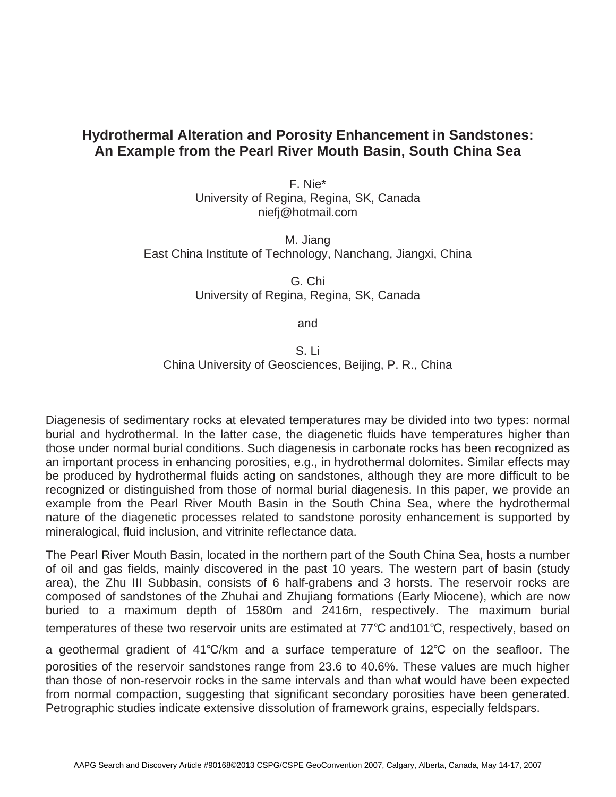## **Hydrothermal Alteration and Porosity Enhancement in Sandstones: An Example from the Pearl River Mouth Basin, South China Sea**

F. Nie\* University of Regina, Regina, SK, Canada niefj@hotmail.com

M. Jiang East China Institute of Technology, Nanchang, Jiangxi, China

> G. Chi University of Regina, Regina, SK, Canada

> > and

S. Li China University of Geosciences, Beijing, P. R., China

Diagenesis of sedimentary rocks at elevated temperatures may be divided into two types: normal burial and hydrothermal. In the latter case, the diagenetic fluids have temperatures higher than those under normal burial conditions. Such diagenesis in carbonate rocks has been recognized as an important process in enhancing porosities, e.g., in hydrothermal dolomites. Similar effects may be produced by hydrothermal fluids acting on sandstones, although they are more difficult to be recognized or distinguished from those of normal burial diagenesis. In this paper, we provide an example from the Pearl River Mouth Basin in the South China Sea, where the hydrothermal nature of the diagenetic processes related to sandstone porosity enhancement is supported by mineralogical, fluid inclusion, and vitrinite reflectance data.

The Pearl River Mouth Basin, located in the northern part of the South China Sea, hosts a number of oil and gas fields, mainly discovered in the past 10 years. The western part of basin (study area), the Zhu III Subbasin, consists of 6 half-grabens and 3 horsts. The reservoir rocks are composed of sandstones of the Zhuhai and Zhujiang formations (Early Miocene), which are now buried to a maximum depth of 1580m and 2416m, respectively. The maximum burial temperatures of these two reservoir units are estimated at 77°C and101°C, respectively, based on

a geothermal gradient of 41°C/km and a surface temperature of 12°C on the seafloor. The porosities of the reservoir sandstones range from 23.6 to 40.6%. These values are much higher than those of non-reservoir rocks in the same intervals and than what would have been expected from normal compaction, suggesting that significant secondary porosities have been generated. Petrographic studies indicate extensive dissolution of framework grains, especially feldspars.